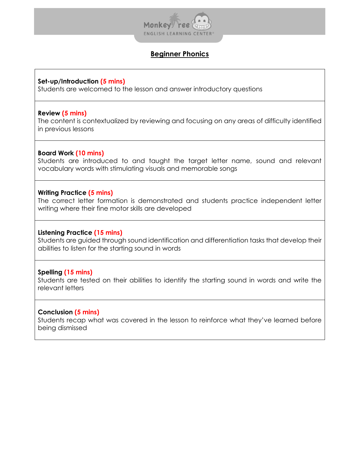

# **Beginner Phonics**

### **Set-up/Introduction (5 mins)**

Students are welcomed to the lesson and answer introductory questions

### **Review (5 mins)**

The content is contextualized by reviewing and focusing on any areas of difficulty identified in previous lessons

## **Board Work (10 mins)**

Students are introduced to and taught the target letter name, sound and relevant vocabulary words with stimulating visuals and memorable songs

## **Writing Practice (5 mins)**

The correct letter formation is demonstrated and students practice independent letter writing where their fine motor skills are developed

## **Listening Practice (15 mins)**

Students are guided through sound identification and differentiation tasks that develop their abilities to listen for the starting sound in words

## **Spelling (15 mins)**

Students are tested on their abilities to identify the starting sound in words and write the relevant letters

### **Conclusion (5 mins)**

Students recap what was covered in the lesson to reinforce what they've learned before being dismissed